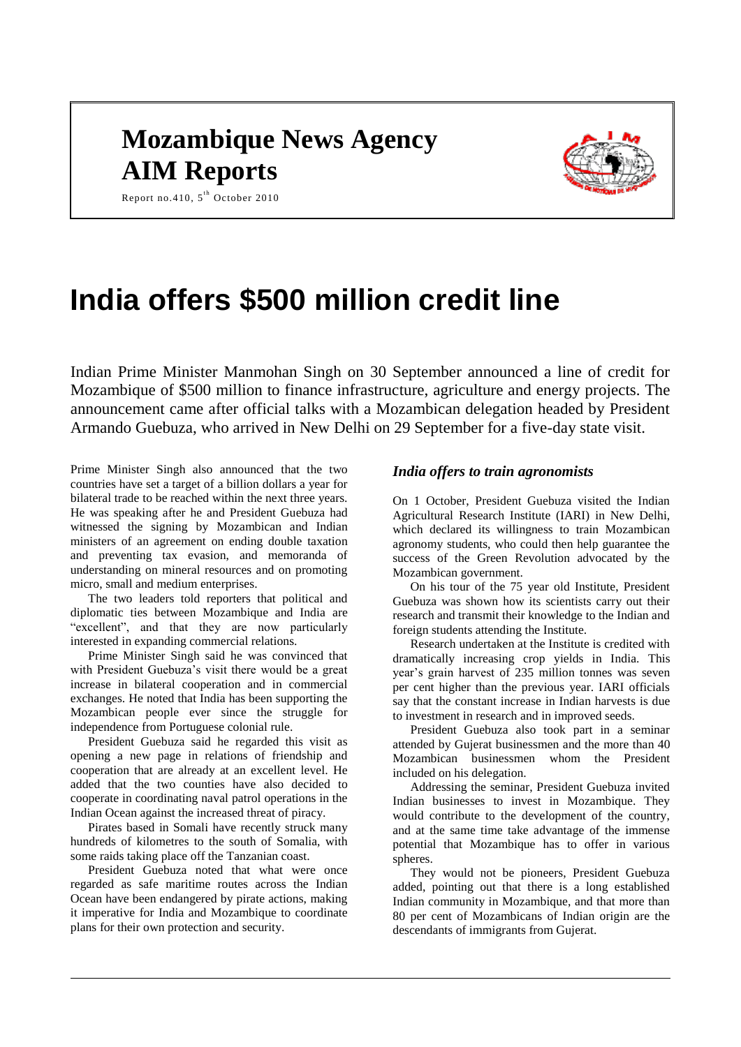# **Mozambique News Agency AIM Reports**



Report no.410,  $5^{\text{th}}$  October 2010

# **India offers \$500 million credit line**

Indian Prime Minister Manmohan Singh on 30 September announced a line of credit for Mozambique of \$500 million to finance infrastructure, agriculture and energy projects. The announcement came after official talks with a Mozambican delegation headed by President Armando Guebuza, who arrived in New Delhi on 29 September for a five-day state visit.

Prime Minister Singh also announced that the two countries have set a target of a billion dollars a year for bilateral trade to be reached within the next three years. He was speaking after he and President Guebuza had witnessed the signing by Mozambican and Indian ministers of an agreement on ending double taxation and preventing tax evasion, and memoranda of understanding on mineral resources and on promoting micro, small and medium enterprises.

The two leaders told reporters that political and diplomatic ties between Mozambique and India are "excellent", and that they are now particularly interested in expanding commercial relations.

Prime Minister Singh said he was convinced that with President Guebuza's visit there would be a great increase in bilateral cooperation and in commercial exchanges. He noted that India has been supporting the Mozambican people ever since the struggle for independence from Portuguese colonial rule.

President Guebuza said he regarded this visit as opening a new page in relations of friendship and cooperation that are already at an excellent level. He added that the two counties have also decided to cooperate in coordinating naval patrol operations in the Indian Ocean against the increased threat of piracy.

Pirates based in Somali have recently struck many hundreds of kilometres to the south of Somalia, with some raids taking place off the Tanzanian coast.

President Guebuza noted that what were once regarded as safe maritime routes across the Indian Ocean have been endangered by pirate actions, making it imperative for India and Mozambique to coordinate plans for their own protection and security.

# *India offers to train agronomists*

On 1 October, President Guebuza visited the Indian Agricultural Research Institute (IARI) in New Delhi, which declared its willingness to train Mozambican agronomy students, who could then help guarantee the success of the Green Revolution advocated by the Mozambican government.

On his tour of the 75 year old Institute, President Guebuza was shown how its scientists carry out their research and transmit their knowledge to the Indian and foreign students attending the Institute.

Research undertaken at the Institute is credited with dramatically increasing crop yields in India. This year's grain harvest of 235 million tonnes was seven per cent higher than the previous year. IARI officials say that the constant increase in Indian harvests is due to investment in research and in improved seeds.

President Guebuza also took part in a seminar attended by Gujerat businessmen and the more than 40 Mozambican businessmen whom the President included on his delegation.

Addressing the seminar, President Guebuza invited Indian businesses to invest in Mozambique. They would contribute to the development of the country, and at the same time take advantage of the immense potential that Mozambique has to offer in various spheres.

They would not be pioneers, President Guebuza added, pointing out that there is a long established Indian community in Mozambique, and that more than 80 per cent of Mozambicans of Indian origin are the descendants of immigrants from Gujerat.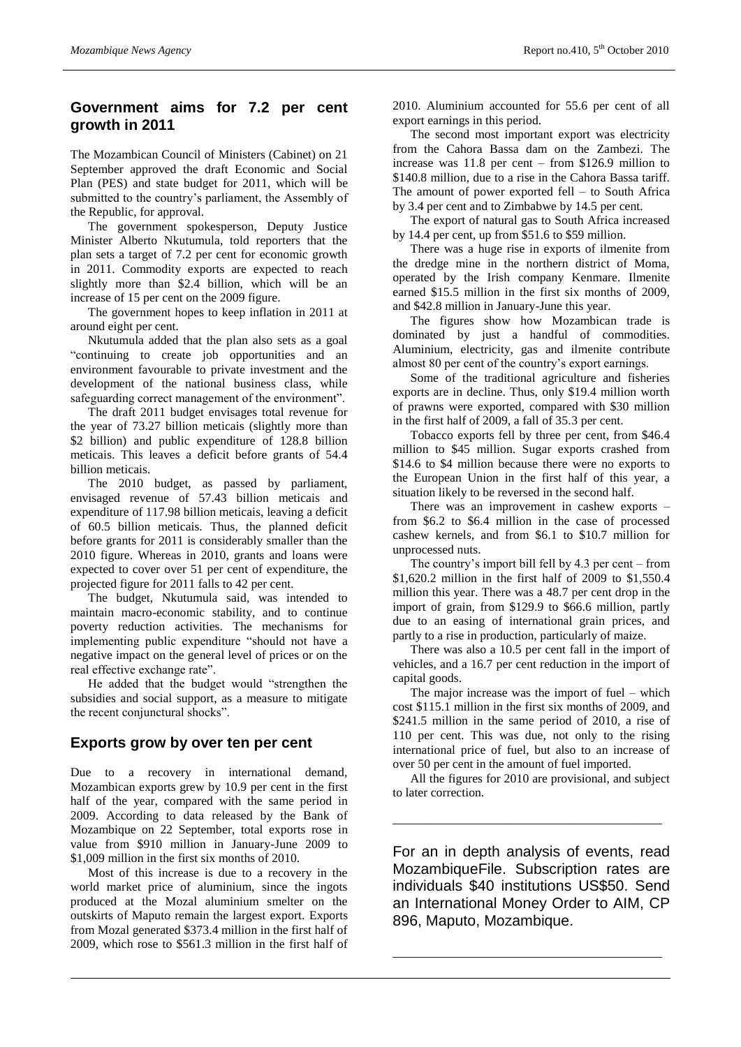# **Government aims for 7.2 per cent growth in 2011**

The Mozambican Council of Ministers (Cabinet) on 21 September approved the draft Economic and Social Plan (PES) and state budget for 2011, which will be submitted to the country's parliament, the Assembly of the Republic, for approval.

The government spokesperson, Deputy Justice Minister Alberto Nkutumula, told reporters that the plan sets a target of 7.2 per cent for economic growth in 2011. Commodity exports are expected to reach slightly more than \$2.4 billion, which will be an increase of 15 per cent on the 2009 figure.

The government hopes to keep inflation in 2011 at around eight per cent.

Nkutumula added that the plan also sets as a goal "continuing to create job opportunities and an environment favourable to private investment and the development of the national business class, while safeguarding correct management of the environment".

The draft 2011 budget envisages total revenue for the year of 73.27 billion meticais (slightly more than \$2 billion) and public expenditure of 128.8 billion meticais. This leaves a deficit before grants of 54.4 billion meticais.

The 2010 budget, as passed by parliament, envisaged revenue of 57.43 billion meticais and expenditure of 117.98 billion meticais, leaving a deficit of 60.5 billion meticais. Thus, the planned deficit before grants for 2011 is considerably smaller than the 2010 figure. Whereas in 2010, grants and loans were expected to cover over 51 per cent of expenditure, the projected figure for 2011 falls to 42 per cent.

The budget, Nkutumula said, was intended to maintain macro-economic stability, and to continue poverty reduction activities. The mechanisms for implementing public expenditure "should not have a negative impact on the general level of prices or on the real effective exchange rate".

He added that the budget would "strengthen the subsidies and social support, as a measure to mitigate the recent conjunctural shocks".

#### **Exports grow by over ten per cent**

Due to a recovery in international demand, Mozambican exports grew by 10.9 per cent in the first half of the year, compared with the same period in 2009. According to data released by the Bank of Mozambique on 22 September, total exports rose in value from \$910 million in January-June 2009 to \$1,009 million in the first six months of 2010.

Most of this increase is due to a recovery in the world market price of aluminium, since the ingots produced at the Mozal aluminium smelter on the outskirts of Maputo remain the largest export. Exports from Mozal generated \$373.4 million in the first half of 2009, which rose to \$561.3 million in the first half of 2010. Aluminium accounted for 55.6 per cent of all export earnings in this period.

The second most important export was electricity from the Cahora Bassa dam on the Zambezi. The increase was 11.8 per cent – from \$126.9 million to \$140.8 million, due to a rise in the Cahora Bassa tariff. The amount of power exported fell – to South Africa by 3.4 per cent and to Zimbabwe by 14.5 per cent.

The export of natural gas to South Africa increased by 14.4 per cent, up from \$51.6 to \$59 million.

There was a huge rise in exports of ilmenite from the dredge mine in the northern district of Moma, operated by the Irish company Kenmare. Ilmenite earned \$15.5 million in the first six months of 2009, and \$42.8 million in January-June this year.

The figures show how Mozambican trade is dominated by just a handful of commodities. Aluminium, electricity, gas and ilmenite contribute almost 80 per cent of the country's export earnings.

Some of the traditional agriculture and fisheries exports are in decline. Thus, only \$19.4 million worth of prawns were exported, compared with \$30 million in the first half of 2009, a fall of 35.3 per cent.

Tobacco exports fell by three per cent, from \$46.4 million to \$45 million. Sugar exports crashed from \$14.6 to \$4 million because there were no exports to the European Union in the first half of this year, a situation likely to be reversed in the second half.

There was an improvement in cashew exports – from \$6.2 to \$6.4 million in the case of processed cashew kernels, and from \$6.1 to \$10.7 million for unprocessed nuts.

The country's import bill fell by 4.3 per cent – from \$1,620.2 million in the first half of 2009 to \$1,550.4 million this year. There was a 48.7 per cent drop in the import of grain, from \$129.9 to \$66.6 million, partly due to an easing of international grain prices, and partly to a rise in production, particularly of maize.

There was also a 10.5 per cent fall in the import of vehicles, and a 16.7 per cent reduction in the import of capital goods.

The major increase was the import of fuel – which cost \$115.1 million in the first six months of 2009, and \$241.5 million in the same period of 2010, a rise of 110 per cent. This was due, not only to the rising international price of fuel, but also to an increase of over 50 per cent in the amount of fuel imported.

All the figures for 2010 are provisional, and subject to later correction.

\_\_\_\_\_\_\_\_\_\_\_\_\_\_\_\_\_\_\_\_\_\_\_\_\_\_\_\_\_\_\_\_\_\_\_\_\_\_\_\_\_\_\_\_\_\_\_\_\_\_\_\_\_\_\_\_\_\_\_\_\_\_\_\_\_

For an in depth analysis of events, read MozambiqueFile. Subscription rates are individuals \$40 institutions US\$50. Send an International Money Order to AIM, CP 896, Maputo, Mozambique.

\_\_\_\_\_\_\_\_\_\_\_\_\_\_\_\_\_\_\_\_\_\_\_\_\_\_\_\_\_\_\_\_\_\_\_\_\_\_\_\_\_\_\_\_\_\_\_\_\_\_\_\_\_\_\_\_\_\_\_\_\_\_\_\_\_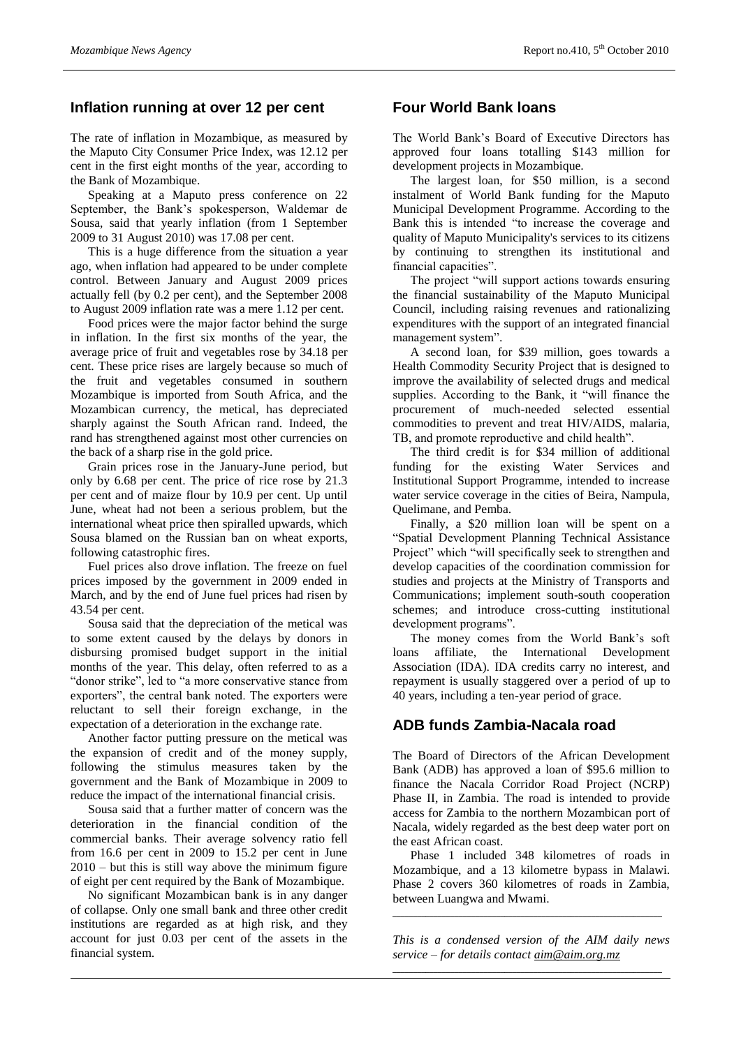# **Inflation running at over 12 per cent**

The rate of inflation in Mozambique, as measured by the Maputo City Consumer Price Index, was 12.12 per cent in the first eight months of the year, according to the Bank of Mozambique.

Speaking at a Maputo press conference on 22 September, the Bank's spokesperson, Waldemar de Sousa, said that yearly inflation (from 1 September 2009 to 31 August 2010) was 17.08 per cent.

This is a huge difference from the situation a year ago, when inflation had appeared to be under complete control. Between January and August 2009 prices actually fell (by 0.2 per cent), and the September 2008 to August 2009 inflation rate was a mere 1.12 per cent.

Food prices were the major factor behind the surge in inflation. In the first six months of the year, the average price of fruit and vegetables rose by 34.18 per cent. These price rises are largely because so much of the fruit and vegetables consumed in southern Mozambique is imported from South Africa, and the Mozambican currency, the metical, has depreciated sharply against the South African rand. Indeed, the rand has strengthened against most other currencies on the back of a sharp rise in the gold price.

Grain prices rose in the January-June period, but only by 6.68 per cent. The price of rice rose by 21.3 per cent and of maize flour by 10.9 per cent. Up until June, wheat had not been a serious problem, but the international wheat price then spiralled upwards, which Sousa blamed on the Russian ban on wheat exports, following catastrophic fires.

Fuel prices also drove inflation. The freeze on fuel prices imposed by the government in 2009 ended in March, and by the end of June fuel prices had risen by 43.54 per cent.

Sousa said that the depreciation of the metical was to some extent caused by the delays by donors in disbursing promised budget support in the initial months of the year. This delay, often referred to as a "donor strike", led to "a more conservative stance from exporters", the central bank noted. The exporters were reluctant to sell their foreign exchange, in the expectation of a deterioration in the exchange rate.

Another factor putting pressure on the metical was the expansion of credit and of the money supply, following the stimulus measures taken by the government and the Bank of Mozambique in 2009 to reduce the impact of the international financial crisis.

Sousa said that a further matter of concern was the deterioration in the financial condition of the commercial banks. Their average solvency ratio fell from 16.6 per cent in 2009 to 15.2 per cent in June  $2010 -$  but this is still way above the minimum figure of eight per cent required by the Bank of Mozambique.

No significant Mozambican bank is in any danger of collapse. Only one small bank and three other credit institutions are regarded as at high risk, and they account for just 0.03 per cent of the assets in the financial system.

# **Four World Bank loans**

The World Bank's Board of Executive Directors has approved four loans totalling \$143 million for development projects in Mozambique.

The largest loan, for \$50 million, is a second instalment of World Bank funding for the Maputo Municipal Development Programme. According to the Bank this is intended "to increase the coverage and quality of Maputo Municipality's services to its citizens by continuing to strengthen its institutional and financial capacities".

The project "will support actions towards ensuring the financial sustainability of the Maputo Municipal Council, including raising revenues and rationalizing expenditures with the support of an integrated financial management system".

A second loan, for \$39 million, goes towards a Health Commodity Security Project that is designed to improve the availability of selected drugs and medical supplies. According to the Bank, it "will finance the procurement of much-needed selected essential commodities to prevent and treat HIV/AIDS, malaria, TB, and promote reproductive and child health".

The third credit is for \$34 million of additional funding for the existing Water Services and Institutional Support Programme, intended to increase water service coverage in the cities of Beira, Nampula, Quelimane, and Pemba.

Finally, a \$20 million loan will be spent on a "Spatial Development Planning Technical Assistance Project" which "will specifically seek to strengthen and develop capacities of the coordination commission for studies and projects at the Ministry of Transports and Communications; implement south-south cooperation schemes; and introduce cross-cutting institutional development programs".

The money comes from the World Bank's soft loans affiliate, the International Development Association (IDA). IDA credits carry no interest, and repayment is usually staggered over a period of up to 40 years, including a ten-year period of grace.

# **ADB funds Zambia-Nacala road**

The Board of Directors of the African Development Bank (ADB) has approved a loan of \$95.6 million to finance the Nacala Corridor Road Project (NCRP) Phase II, in Zambia. The road is intended to provide access for Zambia to the northern Mozambican port of Nacala, widely regarded as the best deep water port on the east African coast.

Phase 1 included 348 kilometres of roads in Mozambique, and a 13 kilometre bypass in Malawi. Phase 2 covers 360 kilometres of roads in Zambia, between Luangwa and Mwami.

*This is a condensed version of the AIM daily news service – for details contact [aim@aim.org.mz](mailto:aim@aim.org.mz)*

\_\_\_\_\_\_\_\_\_\_\_\_\_\_\_\_\_\_\_\_\_\_\_\_\_\_\_\_\_\_\_\_\_\_\_\_\_\_\_\_\_\_\_\_\_\_\_\_\_\_\_\_\_\_\_\_\_\_\_\_\_\_\_\_\_

\_\_\_\_\_\_\_\_\_\_\_\_\_\_\_\_\_\_\_\_\_\_\_\_\_\_\_\_\_\_\_\_\_\_\_\_\_\_\_\_\_\_\_\_\_\_\_\_\_\_\_\_\_\_\_\_\_\_\_\_\_\_\_\_\_